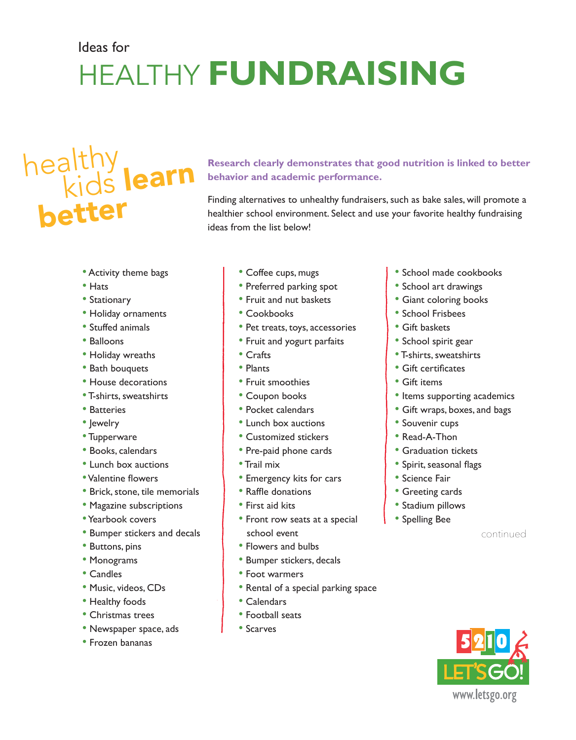## Ideas for healthy **FUNDRAISING**

# healthy, kids learn better

**Research clearly demonstrates that good nutrition is linked to better behavior and academic performance.** 

Finding alternatives to unhealthy fundraisers, such as bake sales, will promote a healthier school environment. Select and use your favorite healthy fundraising ideas from the list below!

- Activity theme bags
- Hats
- Stationary
- Holiday ornaments
- Stuffed animals
- Balloons
- Holiday wreaths
- Bath bouquets
- House decorations
- T-shirts, sweatshirts
- Batteries
- Jewelry
- Tupperware
- Books, calendars
- Lunch box auctions
- •Valentine flowers
- Brick, stone, tile memorials
- Magazine subscriptions
- •Yearbook covers
- Bumper stickers and decals
- Buttons, pins
- Monograms
- Candles
- Music, videos, CDs
- Healthy foods
- Christmas trees
- Newspaper space, ads
- Frozen bananas
- Coffee cups, mugs
- Preferred parking spot
- Fruit and nut baskets
- Cookbooks
- Pet treats, toys, accessories
- Fruit and yogurt parfaits
- Crafts
- Plants
- Fruit smoothies
- Coupon books
- Pocket calendars
- Lunch box auctions
- Customized stickers
- Pre-paid phone cards
- Trail mix
- Emergency kits for cars
- Raffle donations
- First aid kits
- Front row seats at a special school event
- Flowers and bulbs
- Bumper stickers, decals
- Foot warmers
- Rental of a special parking space
- Calendars
- Football seats
- Scarves
- School made cookbooks
- School art drawings
- Giant coloring books
- School Frisbees
- Gift baskets
- School spirit gear
- T-shirts, sweatshirts
- Gift certificates
- Gift items
- Items supporting academics
- Gift wraps, boxes, and bags
- Souvenir cups
- Read-A-Thon
- Graduation tickets
- Spirit, seasonal flags
- Science Fair
- Greeting cards
- Stadium pillows
- Spelling Bee

continued